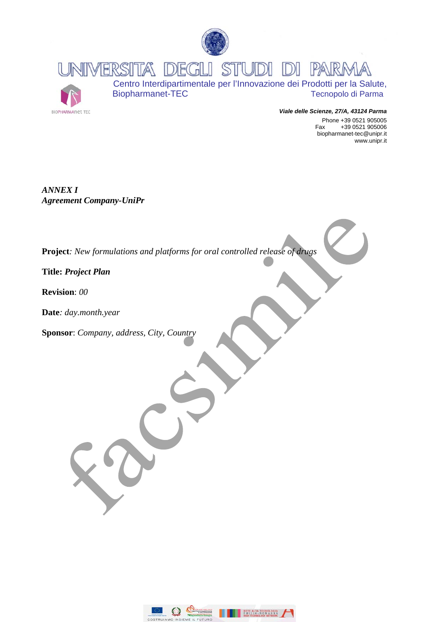

**STUDI DI PARA** INVERSITA DEGLI



Centro Interdipartimentale per l'Innovazione dei Prodotti per la Salute, Biopharmanet-TEC Tecnopolo di Parma

> *Viale delle Scienze, 27/A, 43124 Parma*  Phone +39 0521 905005 Fax +39 0521 905006 biopharmanet-tec@unipr.it www.unipr.it

*ANNEX I Agreement Company-UniPr* 

**Project***: New formulations and platforms for oral controlled release of drugs* 

**Title:** *Project Plan* 

**Revision**: *00* 

**Date***: day.month.year* 

**Sponsor**: *Company, address, City, Country* 

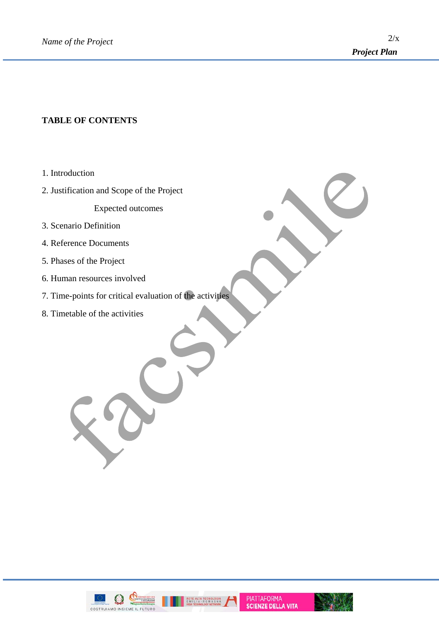# **TABLE OF CONTENTS**

- 1. Introduction
- 2. Justification and Scope of the Project

Expected outcomes

- 3. Scenario Definition
- 4. Reference Documents
- 5. Phases of the Project
- 6. Human resources involved
- 7. Time-points for critical evaluation of the activities
- 8. Timetable of the activities

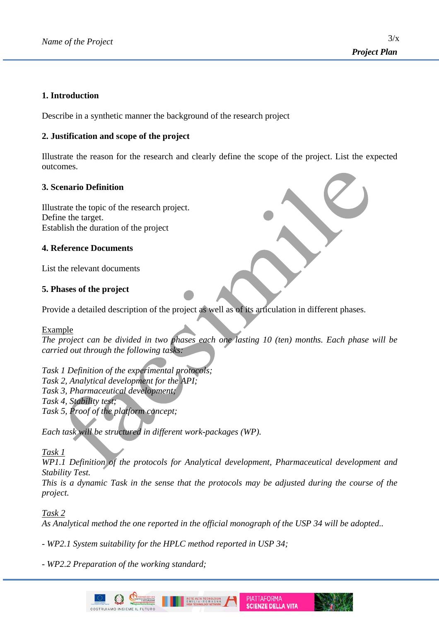#### **1. Introduction**

Describe in a synthetic manner the background of the research project

# **2. Justification and scope of the project**

Illustrate the reason for the research and clearly define the scope of the project. List the expected outcomes.

# **3. Scenario Definition**

Illustrate the topic of the research project. Define the target. Establish the duration of the project

# **4. Reference Documents**

List the relevant documents

# **5. Phases of the project**

Provide a detailed description of the project as well as of its articulation in different phases.

#### Example

*The project can be divided in two phases each one lasting 10 (ten) months. Each phase will be carried out through the following tasks:* 

*Task 1 Definition of the experimental protocols; Task 2, Analytical development for the API; Task 3, Pharmaceutical development; Task 4, Stability test; Task 5, Proof of the platform concept;* 

*Each task will be structured in different work-packages (WP).* 

#### *Task 1*

*WP1.1 Definition of the protocols for Analytical development, Pharmaceutical development and Stability Test.* 

*This is a dynamic Task in the sense that the protocols may be adjusted during the course of the project.* 

> **PIATTAFORMA SCIENZE DELLA VITA**

*Task 2* 

*As Analytical method the one reported in the official monograph of the USP 34 will be adopted..* 

*- WP2.1 System suitability for the HPLC method reported in USP 34;* 

*- WP2.2 Preparation of the working standard;* 

COSTRUIAMO INSIEME IL FUTUR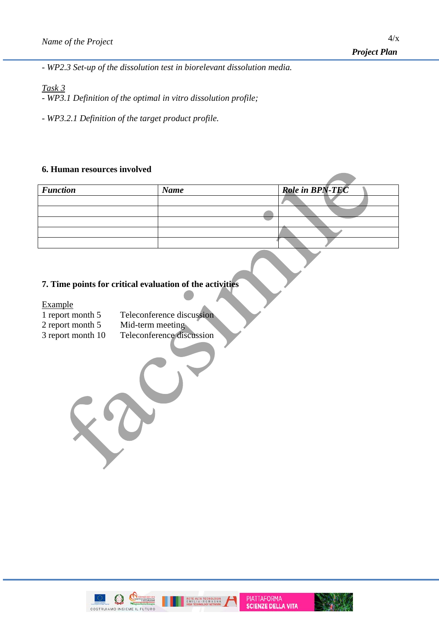*- WP2.3 Set-up of the dissolution test in biorelevant dissolution media.* 

# *Task 3*

*- WP3.1 Definition of the optimal in vitro dissolution profile;* 

*- WP3.2.1 Definition of the target product profile.* 

# **6. Human resources involved**

| <b>Function</b> | <b>Name</b> | <b>Role in BPN-TEC</b> |
|-----------------|-------------|------------------------|
|                 |             |                        |
|                 |             |                        |
|                 |             |                        |
|                 |             |                        |
|                 |             |                        |
|                 |             |                        |

Δ

# **7. Time points for critical evaluation of the activities**

Example

| 1 report month 5 | Teleconference discussion |
|------------------|---------------------------|
| 2 report month 5 | Mid-term meeting          |

 $\frac{2 \text{ report moment}}{3 \text{ report month}}$  10 Teleconference discussion